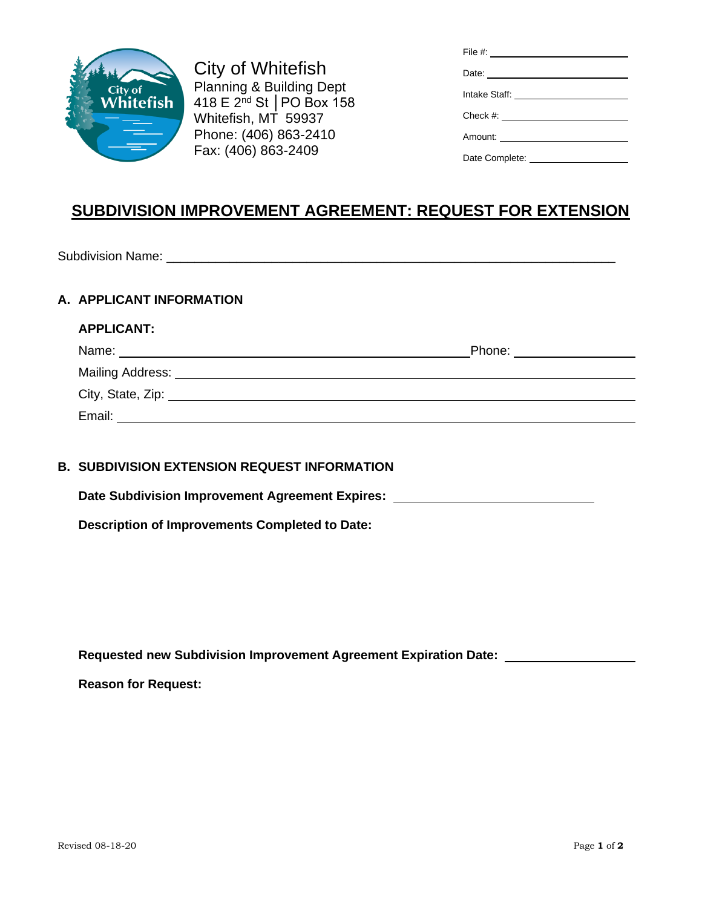

City of Whitefish Planning & Building Dept 418 E 2nd St │PO Box 158 Whitefish, MT 59937 Phone: (406) 863-2410 Fax: (406) 863-2409

| File #: ___________________________                                                                                                                                                                                                  |
|--------------------------------------------------------------------------------------------------------------------------------------------------------------------------------------------------------------------------------------|
| Date: <u>contract and the set of the set of the set of the set of the set of the set of the set of the set of the set of the set of the set of the set of the set of the set of the set of the set of the set of the set of the </u> |
| Intake Staff: ________________________                                                                                                                                                                                               |
|                                                                                                                                                                                                                                      |
| Amount: _______________________                                                                                                                                                                                                      |
|                                                                                                                                                                                                                                      |

## **SUBDIVISION IMPROVEMENT AGREEMENT: REQUEST FOR EXTENSION**

Subdivision Name: \_\_\_\_\_\_\_\_\_\_\_\_\_\_\_\_\_\_\_\_\_\_\_\_\_\_\_\_\_\_\_\_\_\_\_\_\_\_\_\_\_\_\_\_\_\_\_\_\_\_\_\_\_\_\_\_\_\_\_\_\_\_\_\_

## **A. APPLICANT INFORMATION**

| <b>APPLICANT:</b>                                                                                                                                                                                                             |                               |
|-------------------------------------------------------------------------------------------------------------------------------------------------------------------------------------------------------------------------------|-------------------------------|
| Name:                                                                                                                                                                                                                         | Phone: <u>_______________</u> |
| Mailing Address: Universe and Address and Address and Address and Address and Address and Address and Address and Address and Address and Address and Address and Address and Address and Address and Address and Address and |                               |
| City, State, Zip:                                                                                                                                                                                                             |                               |
| Email:                                                                                                                                                                                                                        |                               |

## **B. SUBDIVISION EXTENSION REQUEST INFORMATION**

**Date Subdivision Improvement Agreement Expires:**

**Description of Improvements Completed to Date:**

**Requested new Subdivision Improvement Agreement Expiration Date:** 

**Reason for Request:**